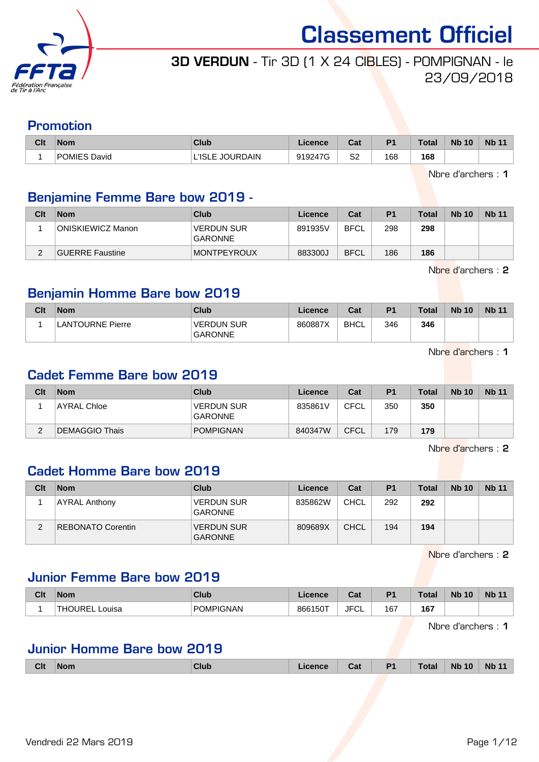

## 3D VERDUN - Tir 3D (1 X 24 CIBLES) - POMPIGNAN - le 23/09/2018

### Promotion

| Clt | <b>Nom</b>          | Club            | <b>_icence</b> | <b>Date</b><br>val | P <sub>1</sub> | <b>Total</b> | <b>Nb 10</b> | <b>Nb 11</b> |
|-----|---------------------|-----------------|----------------|--------------------|----------------|--------------|--------------|--------------|
|     | <b>POMIES David</b> | L'ISLE JOURDAIN | 919247G        | S <sub>2</sub>     | 168            | 168          |              |              |

Nbre d'archers : 1

## Benjamine Femme Bare bow 2019 -

| Clt | <b>Nom</b>               | Club                                | Licence | Cat         | P <sub>1</sub> | Total | <b>Nb 10</b> | <b>Nb 11</b> |
|-----|--------------------------|-------------------------------------|---------|-------------|----------------|-------|--------------|--------------|
|     | <b>ONISKIEWICZ Manon</b> | <b>VERDUN SUR</b><br><b>GARONNE</b> | 891935V | <b>BFCL</b> | 298            | 298   |              |              |
| C   | GUERRE Faustine          | <b>MONTPEYROUX</b>                  | 883300J | <b>BFCL</b> | 186            | 186   |              |              |

Nbre d'archers : 2

## Benjamin Homme Bare bow 2019

| Clt | <b>Nom</b>       | Club                         | Licence | Cat  | P <sub>1</sub> | Total | <b>Nb 10</b> | <b>Nb 11</b> |
|-----|------------------|------------------------------|---------|------|----------------|-------|--------------|--------------|
|     | LANTOURNE Pierre | <b>VERDUN SUR</b><br>GARONNE | 860887X | BHCL | 346            | 346   |              |              |

Nbre d'archers : 1

## Cadet Femme Bare bow 2019

| Clt         | <b>Nom</b>     | Club                                | Licence | Cat         | P <sub>1</sub> | <b>Total</b> | <b>Nb 10</b> | <b>Nb 11</b> |
|-------------|----------------|-------------------------------------|---------|-------------|----------------|--------------|--------------|--------------|
|             | AYRAL Chloe    | <b>VERDUN SUR</b><br><b>GARONNE</b> | 835861V | CFCL        | 350            | 350          |              |              |
| $\sim$<br>∠ | DEMAGGIO Thais | <b>POMPIGNAN</b>                    | 840347W | <b>CFCL</b> | 179            | 179          |              |              |

Nbre d'archers : 2

## Cadet Homme Bare bow 2019

| Clt | <b>Nom</b>               | Club                                | Licence | Cat         | P <sub>1</sub> | Total | <b>Nb 10</b> | <b>Nb 11</b> |
|-----|--------------------------|-------------------------------------|---------|-------------|----------------|-------|--------------|--------------|
|     | <b>AYRAL Anthony</b>     | <b>VERDUN SUR</b><br><b>GARONNE</b> | 835862W | CHCL        | 292            | 292   |              |              |
|     | <b>REBONATO Corentin</b> | <b>VERDUN SUR</b><br><b>GARONNE</b> | 809689X | <b>CHCL</b> | 194            | 194   |              |              |

Nbre d'archers : 2

## Junior Femme Bare bow 2019

| Clt | <b>Nom</b>         | Club             | Licence. | <b>Cat</b><br>ual  | D.  | <b>Total</b> | <b>N<sub>b</sub></b><br>10 | <b>Nb 11</b> |
|-----|--------------------|------------------|----------|--------------------|-----|--------------|----------------------------|--------------|
|     | IRF<br>Louisa<br>└ | <b>POMPIGNAN</b> | 866150T  | $T^*$<br>JF'<br>◡∟ | 167 | 167          |                            |              |

Nbre d'archers : 1

#### Junior Homme Bare bow 2019

| <b>Clt</b> | Nom<br>. | <b>Club</b> | Icence | Cat | P <sub>1</sub> | Total | <b>Nb 10</b> | <b>Nb 11</b> |
|------------|----------|-------------|--------|-----|----------------|-------|--------------|--------------|
|            |          |             |        |     |                |       |              |              |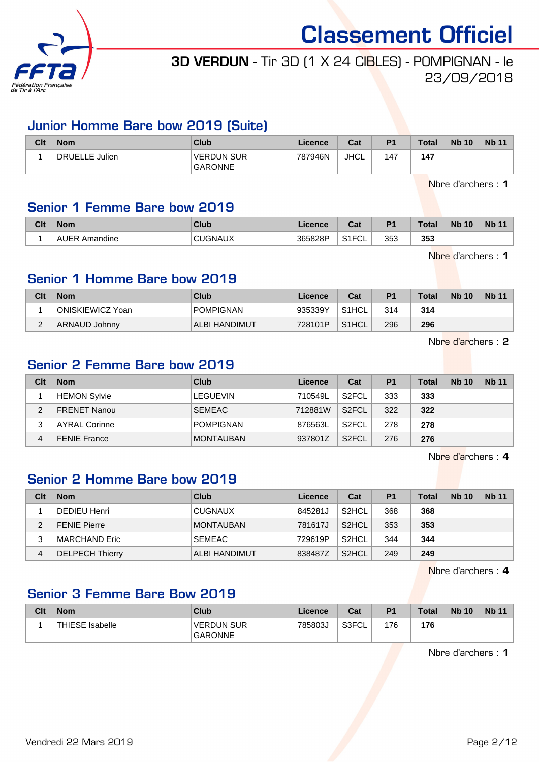

## 3D VERDUN - Tir 3D (1 X 24 CIBLES) - POMPIGNAN - le 23/09/2018

#### Junior Homme Bare bow 2019 (Suite)

| Clt | $\mathsf{Nom}$ | Club                                | Licence | Cat         | P <sub>1</sub> | <b>Total</b> | <b>Nb 10</b> | <b>Nb 11</b> |
|-----|----------------|-------------------------------------|---------|-------------|----------------|--------------|--------------|--------------|
|     | DRUELLE Julien | <b>VERDUN SUR</b><br><b>GARONNE</b> | 787946N | <b>JHCL</b> | 147            | 147          |              |              |

Nbre d'archers : 1

#### Senior 1 Femme Bare bow 2019

| Clt | <b>Nom</b>            | Club       | icence  | ่∩ำง<br>uai         | D <sub>1</sub> | <b>Total</b> | <b>Nb 10</b> | <b>Nb</b> |
|-----|-----------------------|------------|---------|---------------------|----------------|--------------|--------------|-----------|
|     | .<br>AUER<br>Amandine | CHICNIALIV | 365828P | 0.4501<br>ືບ∟<br>◡喉 | 353            | 353          |              |           |

Nbre d'archers : 1

#### Senior 1 Homme Bare bow 2019

| Clt | <b>Nom</b>       | Club             | Licence | Cat                | P <sub>1</sub> | <b>Total</b> | <b>Nb 10</b> | <b>Nb 11</b> |
|-----|------------------|------------------|---------|--------------------|----------------|--------------|--------------|--------------|
|     | ONISKIEWICZ Yoan | <b>POMPIGNAN</b> | 935339Y | S <sub>1</sub> HCL | 314            | 314          |              |              |
| ◠   | ARNAUD Johnny    | ALBI HANDIMUT    | 728101P | S <sub>1</sub> HCL | 296            | 296          |              |              |

Nbre d'archers : 2

#### Senior 2 Femme Bare bow 2019

| Clt | <b>Nom</b>          | Club             | Licence | Cat                | P <sub>1</sub> | <b>Total</b> | <b>Nb 10</b> | <b>Nb 11</b> |
|-----|---------------------|------------------|---------|--------------------|----------------|--------------|--------------|--------------|
|     | HEMON Sylvie        | <b>LEGUEVIN</b>  | 710549L | S <sub>2</sub> FCL | 333            | 333          |              |              |
| 2   | FRENET Nanou        | <b>SEMEAC</b>    | 712881W | S <sub>2</sub> FCL | 322            | 322          |              |              |
| 3   | AYRAL Corinne       | <b>POMPIGNAN</b> | 876563L | S <sub>2</sub> FCL | 278            | 278          |              |              |
| 4   | <b>FENIE France</b> | <b>MONTAUBAN</b> | 937801Z | S <sub>2</sub> FCL | 276            | 276          |              |              |

Nbre d'archers : 4

#### Senior 2 Homme Bare bow 2019

| Clt | <b>Nom</b>             | Club             | Licence | Cat                | P <sub>1</sub> | <b>Total</b> | <b>Nb 10</b> | <b>Nb 11</b> |
|-----|------------------------|------------------|---------|--------------------|----------------|--------------|--------------|--------------|
|     | DEDIEU Henri           | <b>CUGNAUX</b>   | 845281J | S <sub>2</sub> HCL | 368            | 368          |              |              |
| 2   | <b>FENIE Pierre</b>    | <b>MONTAUBAN</b> | 781617J | S <sub>2</sub> HCL | 353            | 353          |              |              |
| 3   | MARCHAND Eric          | <b>SEMEAC</b>    | 729619P | S <sub>2</sub> HCL | 344            | 344          |              |              |
| 4   | <b>DELPECH Thierry</b> | ALBI HANDIMUT    | 838487Z | S <sub>2</sub> HCL | 249            | 249          |              |              |

Nbre d'archers : 4

## Senior 3 Femme Bare Bow 2019

| Clt | <b>Nom</b>       | Club                                | Licence | Cat   | P <sub>1</sub> | <b>Total</b> | <b>Nb 10</b> | <b>Nb 11</b> |
|-----|------------------|-------------------------------------|---------|-------|----------------|--------------|--------------|--------------|
|     | 'THIESE Isabelle | <b>VERDUN SUR</b><br><b>GARONNE</b> | 785803J | S3FCL | 176            | 176          |              |              |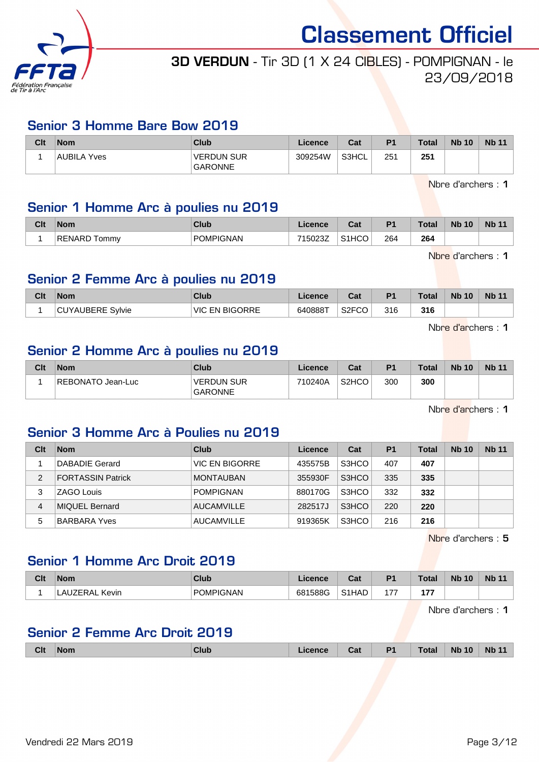

## 3D VERDUN - Tir 3D (1 X 24 CIBLES) - POMPIGNAN - le 23/09/2018

#### Senior 3 Homme Bare Bow 2019

| Clt | Nom         | Club                                | Licence | Cat   | <b>P1</b> | <b>Total</b> | <b>Nb 10</b> | <b>Nb 11</b> |
|-----|-------------|-------------------------------------|---------|-------|-----------|--------------|--------------|--------------|
|     | AUBILA Yves | <b>VERDUN SUR</b><br><b>GARONNE</b> | 309254W | S3HCL | 251       | 251          |              |              |

Nbre d'archers : 1

#### Senior 1 Homme Arc à poulies nu 2019

| Clt | <b>Nom</b>                | Club             | Licence          | <b>Dol</b><br>uai | P <sub>1</sub> | <b>Total</b>  | <b>N<sub>b</sub></b><br>10 | <b>Nb</b> |
|-----|---------------------------|------------------|------------------|-------------------|----------------|---------------|----------------------------|-----------|
|     | <b>RENARD T</b><br>l ommy | <b>POMPIGNAN</b> | 7150237<br>ിയമാമ | S1HCO             | 264<br>$\sim$  | 264<br>$\sim$ |                            |           |

Nbre d'archers : 1

### Senior 2 Femme Arc à poulies nu 2019

| Clt | <b>Nom</b>        | Club                  | Licence | $\sim$<br>uai           | P <sub>1</sub> | <b>Total</b> | <b>Nb 10</b> | Nb <sub>11</sub> |
|-----|-------------------|-----------------------|---------|-------------------------|----------------|--------------|--------------|------------------|
|     | 'CUYAUBERE Sylvie | <b>VIC EN BIGORRE</b> | 640888T | S <sub>2</sub> FCO<br>w | 316            | 316          |              |                  |

Nbre d'archers : 1

#### Senior 2 Homme Arc à poulies nu 2019

| Clt | <b>Nom</b>        | Club                                | Licence | Cat                | P <sub>1</sub> | <b>Total</b> | <b>Nb 10</b> | <b>Nb 11</b> |
|-----|-------------------|-------------------------------------|---------|--------------------|----------------|--------------|--------------|--------------|
|     | REBONATO Jean-Luc | <b>VERDUN SUR</b><br><b>GARONNE</b> | 710240A | S <sub>2</sub> HCO | 300            | 300          |              |              |

Nbre d'archers : 1

## Senior 3 Homme Arc à Poulies nu 2019

| Clt | <b>Nom</b>               | Club              | Licence | Cat   | P <sub>1</sub> | Total | <b>Nb 10</b> | <b>Nb 11</b> |
|-----|--------------------------|-------------------|---------|-------|----------------|-------|--------------|--------------|
|     | DABADIE Gerard           | VIC EN BIGORRE    | 435575B | S3HCO | 407            | 407   |              |              |
| 2   | <b>FORTASSIN Patrick</b> | <b>MONTAUBAN</b>  | 355930F | S3HCO | 335            | 335   |              |              |
| 3   | <b>ZAGO Louis</b>        | <b>POMPIGNAN</b>  | 880170G | S3HCO | 332            | 332   |              |              |
| 4   | <b>MIQUEL Bernard</b>    | <b>AUCAMVILLE</b> | 282517J | S3HCO | 220            | 220   |              |              |
| 5   | <b>BARBARA Yves</b>      | AUCAMVILLE        | 919365K | S3HCO | 216            | 216   |              |              |

Nbre d'archers : 5

### Senior 1 Homme Arc Droit 2019

| Clt | <b>Nom</b>       | Club             | .icence | ົີີ່<br>⊍a.        | D <sub>1</sub>      | <b>Total</b> | <b>N<sub>b</sub></b><br>10 | <b>Nb 11</b> |
|-----|------------------|------------------|---------|--------------------|---------------------|--------------|----------------------------|--------------|
|     | AUZERAL<br>Kevin | <b>POMPIGNAN</b> | 681588G | S <sub>1</sub> HAD | $\rightarrow$<br>17 | ---          |                            |              |

Nbre d'archers : 1

#### Senior 2 Femme Arc Droit 2019

| <b>Clt</b> | <b>Nom</b> | <b>Club</b> | Cat | <b>P1</b><br>- - | <b>Total</b> | <b>Nb</b><br>10 | <b>Nb</b> |
|------------|------------|-------------|-----|------------------|--------------|-----------------|-----------|
|            |            |             |     |                  |              |                 |           |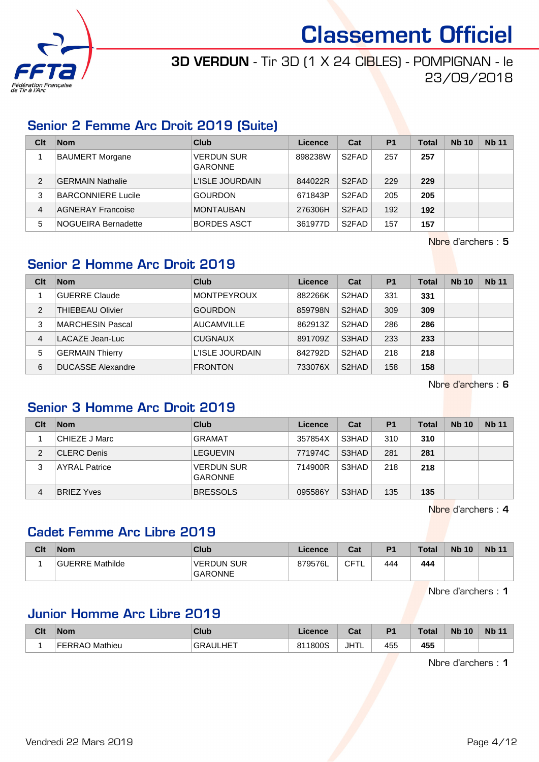

## 3D VERDUN - Tir 3D (1 X 24 CIBLES) - POMPIGNAN - le 23/09/2018

### Senior 2 Femme Arc Droit 2019 (Suite)

| Clt | <b>Nom</b>                | Club                                | Licence | Cat                | P <sub>1</sub> | <b>Total</b> | <b>Nb 10</b> | <b>Nb 11</b> |
|-----|---------------------------|-------------------------------------|---------|--------------------|----------------|--------------|--------------|--------------|
|     | <b>BAUMERT Morgane</b>    | <b>VERDUN SUR</b><br><b>GARONNE</b> | 898238W | S <sub>2</sub> FAD | 257            | 257          |              |              |
| 2   | <b>GERMAIN Nathalie</b>   | L'ISLE JOURDAIN                     | 844022R | S <sub>2</sub> FAD | 229            | 229          |              |              |
| 3   | <b>BARCONNIERE Lucile</b> | <b>GOURDON</b>                      | 671843P | S <sub>2</sub> FAD | 205            | 205          |              |              |
| 4   | <b>AGNERAY Francoise</b>  | <b>MONTAUBAN</b>                    | 276306H | S <sub>2</sub> FAD | 192            | 192          |              |              |
| 5   | NOGUEIRA Bernadette       | <b>BORDES ASCT</b>                  | 361977D | S <sub>2</sub> FAD | 157            | 157          |              |              |

Nbre d'archers : 5

## Senior 2 Homme Arc Droit 2019

| Clt | <b>Nom</b>               | Club               | Licence | Cat                | P <sub>1</sub> | Total | <b>Nb 10</b> | <b>Nb 11</b> |
|-----|--------------------------|--------------------|---------|--------------------|----------------|-------|--------------|--------------|
|     | <b>GUERRE Claude</b>     | <b>MONTPEYROUX</b> | 882266K | S2HAD              | 331            | 331   |              |              |
| 2   | <b>THIEBEAU Olivier</b>  | <b>GOURDON</b>     | 859798N | S <sub>2</sub> HAD | 309            | 309   |              |              |
| 3   | MARCHESIN Pascal         | <b>AUCAMVILLE</b>  | 862913Z | S <sub>2</sub> HAD | 286            | 286   |              |              |
| 4   | LACAZE Jean-Luc          | <b>CUGNAUX</b>     | 891709Z | S3HAD              | 233            | 233   |              |              |
| 5   | <b>GERMAIN Thierry</b>   | L'ISLE JOURDAIN    | 842792D | S <sub>2</sub> HAD | 218            | 218   |              |              |
| 6   | <b>DUCASSE Alexandre</b> | <b>FRONTON</b>     | 733076X | S <sub>2</sub> HAD | 158            | 158   |              |              |

Nbre d'archers : 6

#### Senior 3 Homme Arc Droit 2019

| Clt | <b>Nom</b>           | Club                                | Licence | Cat   | P <sub>1</sub> | Total | <b>Nb 10</b> | <b>Nb 11</b> |
|-----|----------------------|-------------------------------------|---------|-------|----------------|-------|--------------|--------------|
|     | CHIEZE J Marc        | <b>GRAMAT</b>                       | 357854X | S3HAD | 310            | 310   |              |              |
| 2   | <b>CLERC Denis</b>   | <b>LEGUEVIN</b>                     | 771974C | S3HAD | 281            | 281   |              |              |
| 3   | <b>AYRAL Patrice</b> | <b>VERDUN SUR</b><br><b>GARONNE</b> | 714900R | S3HAD | 218            | 218   |              |              |
| 4   | <b>BRIEZ Yves</b>    | <b>BRESSOLS</b>                     | 095586Y | S3HAD | 135            | 135   |              |              |

Nbre d'archers : 4

## Cadet Femme Arc Libre 2019

| Clt | <b>Nom</b>      | Club                          | Licence | Cat  | P <sub>1</sub> | <b>Total</b> | <b>Nb 10</b> | <b>Nb 11</b> |
|-----|-----------------|-------------------------------|---------|------|----------------|--------------|--------------|--------------|
|     | GUERRE Mathilde | ⊺VERDUN SUR<br><b>GARONNE</b> | 879576L | CFTI | 444            | 444          |              |              |

Nbre d'archers : 1

## Junior Homme Arc Libre 2019

| <b>Clt</b> | <b>Nom</b>               | <b>Club</b>     | Licence | <b>Cost</b><br>ual | D <sub>1</sub> | <b>Total</b> | <b>N<sub>b</sub></b><br>10 | <b>Nb</b> |
|------------|--------------------------|-----------------|---------|--------------------|----------------|--------------|----------------------------|-----------|
|            | <b>FERRAO</b><br>Mathieu | <b>GRAULHET</b> | 811800S | <b>JHTL</b>        | 455            | 455          |                            |           |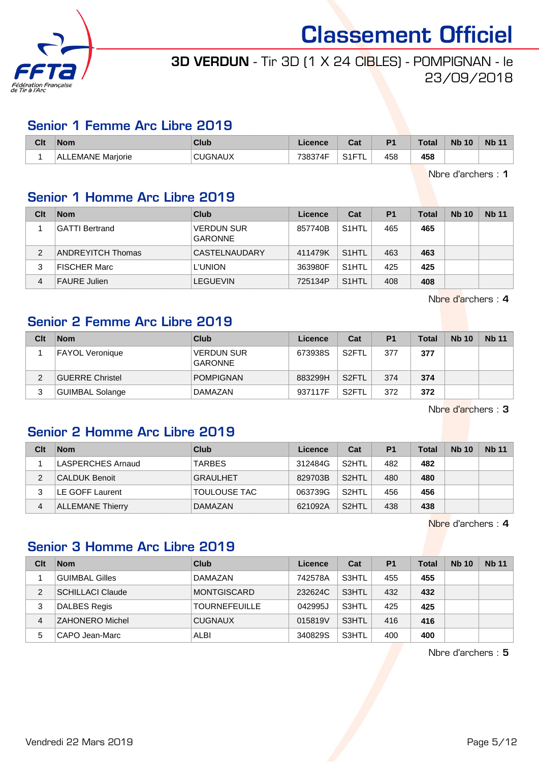

## 3D VERDUN - Tir 3D (1 X 24 CIBLES) - POMPIGNAN - le 23/09/2018

## Senior 1 Femme Arc Libre 2019

| Clt | <b>Nom</b>               | <b>Club</b> | .icence | r.,<br>val    | P <sub>1</sub> | <b>Total</b> | <b>Nb 10</b> | <b>Nb 11</b> |
|-----|--------------------------|-------------|---------|---------------|----------------|--------------|--------------|--------------|
|     | Mariorie<br>.EMANE<br>AL | CUGNAUX     | 738374F | 0.07<br>، ، ب | 458            | 458          |              |              |

Nbre d'archers : 1

## Senior 1 Homme Arc Libre 2019

| Clt            | <b>Nom</b>               | Club                                | Licence | Cat                | P <sub>1</sub> | Total | <b>Nb 10</b> | <b>Nb 11</b> |
|----------------|--------------------------|-------------------------------------|---------|--------------------|----------------|-------|--------------|--------------|
|                | <b>GATTI Bertrand</b>    | <b>VERDUN SUR</b><br><b>GARONNE</b> | 857740B | S <sub>1</sub> HTL | 465            | 465   |              |              |
| $\overline{2}$ | <b>ANDREYITCH Thomas</b> | CASTELNAUDARY                       | 411479K | S <sub>1</sub> HTL | 463            | 463   |              |              |
|                | <b>FISCHER Marc</b>      | <b>L'UNION</b>                      | 363980F | S <sub>1</sub> HTL | 425            | 425   |              |              |
| 4              | <b>FAURE</b> Julien      | <b>LEGUEVIN</b>                     | 725134P | S <sub>1</sub> HTL | 408            | 408   |              |              |

Nbre d'archers : 4

#### Senior 2 Femme Arc Libre 2019

| Clt | <b>Nom</b>             | Club                                | Licence | Cat                | P <sub>1</sub> | <b>Total</b> | <b>Nb 10</b> | <b>Nb 11</b> |
|-----|------------------------|-------------------------------------|---------|--------------------|----------------|--------------|--------------|--------------|
|     | <b>FAYOL Veronique</b> | <b>VERDUN SUR</b><br><b>GARONNE</b> | 673938S | S2FTL              | 377            | 377          |              |              |
|     | <b>GUERRE Christel</b> | <b>POMPIGNAN</b>                    | 883299H | S <sub>2</sub> FTL | 374            | 374          |              |              |
| 3   | GUIMBAL Solange        | <b>DAMAZAN</b>                      | 937117F | S <sub>2</sub> FTL | 372            | 372          |              |              |

Nbre d'archers : 3

## Senior 2 Homme Arc Libre 2019

| Clt | <b>Nom</b>               | <b>Club</b>         | Licence | Cat                | P <sub>1</sub> | <b>Total</b> | <b>Nb 10</b> | <b>Nb 11</b> |
|-----|--------------------------|---------------------|---------|--------------------|----------------|--------------|--------------|--------------|
|     | <b>LASPERCHES Arnaud</b> | <b>TARBES</b>       | 312484G | S <sub>2</sub> HTL | 482            | 482          |              |              |
|     | CALDUK Benoit            | <b>GRAULHET</b>     | 829703B | S <sub>2</sub> HTL | 480            | 480          |              |              |
|     | LE GOFF Laurent          | <b>TOULOUSE TAC</b> | 063739G | S <sub>2</sub> HTL | 456            | 456          |              |              |
| 4   | <b>ALLEMANE Thierry</b>  | <b>DAMAZAN</b>      | 621092A | S <sub>2</sub> HTL | 438            | 438          |              |              |

Nbre d'archers : 4

## Senior 3 Homme Arc Libre 2019

| Clt | <b>Nom</b>              | Club                 | Licence | Cat   | P <sub>1</sub> | Total | <b>Nb 10</b> | <b>Nb 11</b> |
|-----|-------------------------|----------------------|---------|-------|----------------|-------|--------------|--------------|
|     | <b>GUIMBAL Gilles</b>   | DAMAZAN              | 742578A | S3HTL | 455            | 455   |              |              |
| 2   | <b>SCHILLACI Claude</b> | <b>MONTGISCARD</b>   | 232624C | S3HTL | 432            | 432   |              |              |
| 3   | <b>DALBES Regis</b>     | <b>TOURNEFEUILLE</b> | 042995J | S3HTL | 425            | 425   |              |              |
| 4   | <b>ZAHONERO Michel</b>  | <b>CUGNAUX</b>       | 015819V | S3HTL | 416            | 416   |              |              |
| 5   | CAPO Jean-Marc          | <b>ALBI</b>          | 340829S | S3HTL | 400            | 400   |              |              |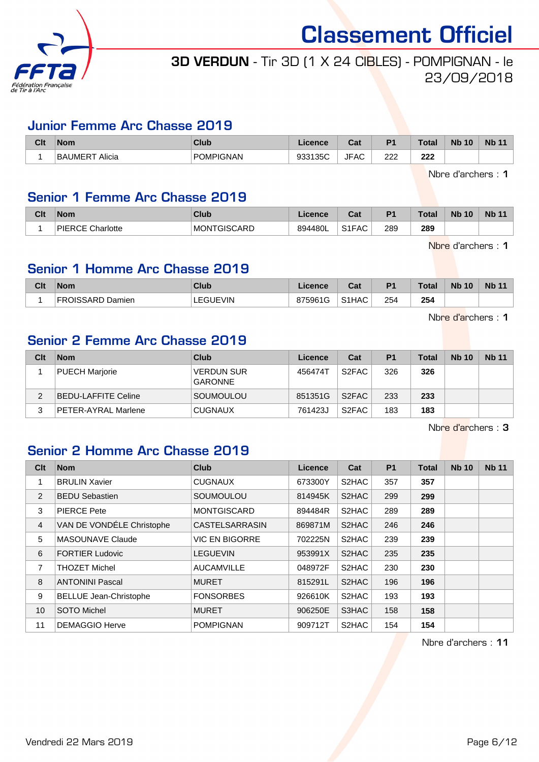

## 3D VERDUN - Tir 3D (1 X 24 CIBLES) - POMPIGNAN - le 23/09/2018

#### Junior Femme Arc Chasse 2019

| Clt | <b>Nom</b>                  | Club             | <b>Ticence</b> | r.<br>⊍a⊧  | D <sub>4</sub> | Total      | <b>N<sub>b</sub></b><br>10 | <b>N<sub>b</sub></b> |
|-----|-----------------------------|------------------|----------------|------------|----------------|------------|----------------------------|----------------------|
|     | Alicia<br>ΒA<br>▫<br>`UMER. | <b>POMPIGNAN</b> | 933135C<br>າວວ | 'FAC<br>J⊩ | ר ה<br>222     | າາາ<br>LLL |                            |                      |

Nbre d'archers : 1

#### Senior 1 Femme Arc Chasse 2019

| Clt | <b>Nom</b>                       | Club                  | ≎ence   | ◠∼<br>ual          | D.  | Total | <b>N</b><br>10 | <b>Nb 11</b> |
|-----|----------------------------------|-----------------------|---------|--------------------|-----|-------|----------------|--------------|
|     | <b>DIEDCE</b><br>Charlotte<br>◝◡ | MC<br>CARD<br>ONTGISC | 894480L | S <sub>1</sub> FAC | 289 | 289   |                |              |

Nbre d'archers : 1

## Senior 1 Homme Arc Chasse 2019

| Clt | <b>Nom</b>  | <b>Club</b> | icence       | $R_{\rm eff}$<br>uai           | D <sub>1</sub> | Total         | <b>Nb</b><br>10 | <b>Nb 11</b> |
|-----|-------------|-------------|--------------|--------------------------------|----------------|---------------|-----------------|--------------|
|     | SARD Damien | /IN         | 1G<br>875961 | 0.41<br>$\sqrt{2}$<br>AAC<br>ີ | 254<br>$\sim$  | 254<br>$\sim$ |                 |              |

Nbre d'archers : 1

## Senior 2 Femme Arc Chasse 2019

| Clt | <b>Nom</b>            | Club                                | Licence | Cat                | P <sub>1</sub> | <b>Total</b> | <b>Nb 10</b> | <b>Nb 11</b> |
|-----|-----------------------|-------------------------------------|---------|--------------------|----------------|--------------|--------------|--------------|
|     | <b>PUECH Marjorie</b> | <b>VERDUN SUR</b><br><b>GARONNE</b> | 456474T | S2FAC              | 326            | 326          |              |              |
| ◠   | BEDU-LAFFITE Celine   | SOUMOULOU                           | 851351G | S <sub>2</sub> FAC | 233            | 233          |              |              |
|     | PETER-AYRAL Marlene   | <b>CUGNAUX</b>                      | 761423J | S <sub>2</sub> FAC | 183            | 183          |              |              |

Nbre d'archers : 3

## Senior 2 Homme Arc Chasse 2019

| C <sub>it</sub> | <b>Nom</b>                    | <b>Club</b>           | <b>Licence</b> | Cat   | <b>P1</b> | <b>Total</b> | <b>Nb 10</b> | <b>Nb 11</b> |
|-----------------|-------------------------------|-----------------------|----------------|-------|-----------|--------------|--------------|--------------|
|                 | <b>BRULIN Xavier</b>          | <b>CUGNAUX</b>        | 673300Y        | S2HAC | 357       | 357          |              |              |
| $\overline{2}$  | <b>BEDU Sebastien</b>         | SOUMOULOU             | 814945K        | S2HAC | 299       | 299          |              |              |
| 3               | <b>PIERCE Pete</b>            | <b>MONTGISCARD</b>    | 894484R        | S2HAC | 289       | 289          |              |              |
| 4               | VAN DE VONDÉLE Christophe     | <b>CASTELSARRASIN</b> | 869871M        | S2HAC | 246       | 246          |              |              |
| 5               | <b>MASOUNAVE Claude</b>       | <b>VIC EN BIGORRE</b> | 702225N        | S2HAC | 239       | 239          |              |              |
| 6               | <b>FORTIER Ludovic</b>        | <b>LEGUEVIN</b>       | 953991X        | S2HAC | 235       | 235          |              |              |
| 7               | <b>THOZET Michel</b>          | <b>AUCAMVILLE</b>     | 048972F        | S2HAC | 230       | 230          |              |              |
| 8               | <b>ANTONINI Pascal</b>        | <b>MURET</b>          | 815291L        | S2HAC | 196       | 196          |              |              |
| 9               | <b>BELLUE Jean-Christophe</b> | <b>FONSORBES</b>      | 926610K        | S2HAC | 193       | 193          |              |              |
| 10              | <b>SOTO Michel</b>            | <b>MURET</b>          | 906250E        | S3HAC | 158       | 158          |              |              |
| 11              | <b>DEMAGGIO Herve</b>         | <b>POMPIGNAN</b>      | 909712T        | S2HAC | 154       | 154          |              |              |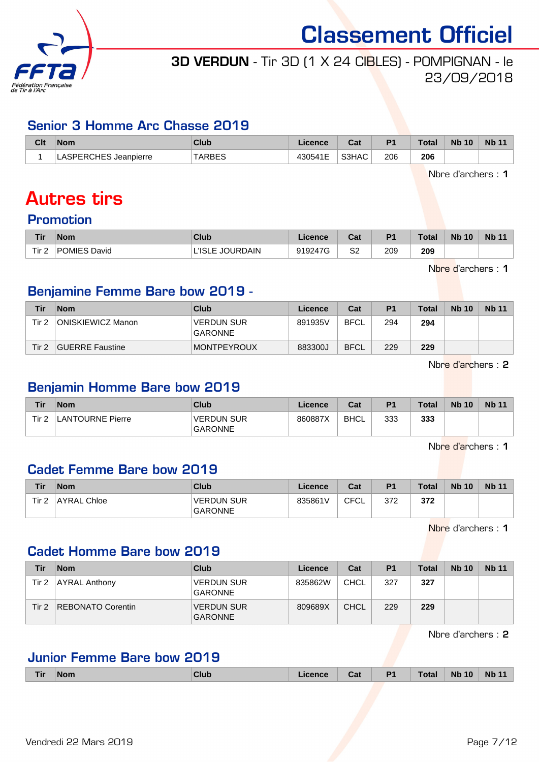

## 3D VERDUN - Tir 3D (1 X 24 CIBLES) - POMPIGNAN - le 23/09/2018

#### Senior 3 Homme Arc Chasse 2019

| Clt | <b>Nom</b>                     | Club  | licence        | ن م<br>⊍d | D <sub>1</sub> | <b>Total</b> | <b>Nb 10</b> | <b>Nb 11</b> |
|-----|--------------------------------|-------|----------------|-----------|----------------|--------------|--------------|--------------|
|     | <b>ASPERCHES</b><br>Jeanpierre | ARBES | 430541E<br>. . | S3HAC     | 206            | 206<br>__    |              |              |

Nbre d'archers : 1

# Autres tirs

#### Promotion

| <b>Tir</b> | <b>Nom</b>   | Club            | <b>Licence</b> | ו ה<br>⊍d | D <sub>1</sub> | <b>Total</b> | <b>Nb 10</b> | <b>N<sub>b</sub></b> |
|------------|--------------|-----------------|----------------|-----------|----------------|--------------|--------------|----------------------|
| Tir 2      | POMIES David | L'ISLE JOURDAIN | 919247G        | S2        | 209            | 209          |              |                      |

Nbre d'archers : 1

### Benjamine Femme Bare bow 2019 -

| Tir   | <b>Nom</b>               | Club                                | Licence | Cat         | P <sub>1</sub> | <b>Total</b> | <b>Nb 10</b> | <b>Nb 11</b> |
|-------|--------------------------|-------------------------------------|---------|-------------|----------------|--------------|--------------|--------------|
| Tir 2 | <b>ONISKIEWICZ Manon</b> | <b>VERDUN SUR</b><br><b>GARONNE</b> | 891935V | <b>BFCL</b> | 294            | 294          |              |              |
| Tir 2 | <b>GUERRE Faustine</b>   | <b>MONTPEYROUX</b>                  | 883300J | <b>BFCL</b> | 229            | 229          |              |              |

Nbre d'archers : 2

## Benjamin Homme Bare bow 2019

| Tir   | <b>Nom</b>       | Club                                | Licence | Cat  | <b>P1</b> | <b>Total</b> | <b>Nb 10</b> | <b>Nb 11</b> |
|-------|------------------|-------------------------------------|---------|------|-----------|--------------|--------------|--------------|
| Tir 2 | LANTOURNE Pierre | <b>VERDUN SUR</b><br><b>GARONNE</b> | 860887X | BHCL | 333       | 333          |              |              |

Nbre d'archers : 1

#### Cadet Femme Bare bow 2019

| Tir   | <b>Nom</b>  | Club                                | Licence | Cat        | P <sub>1</sub> | <b>Total</b> | <b>Nb 10</b> | <b>Nb 11</b> |
|-------|-------------|-------------------------------------|---------|------------|----------------|--------------|--------------|--------------|
| Tir 2 | AYRAL Chloe | <b>VERDUN SUR</b><br><b>GARONNE</b> | 835861V | CFCI<br>◡∟ | 372            | 372          |              |              |

Nbre d'archers : 1

#### Cadet Homme Bare bow 2019

| Tir   | <b>Nom</b>           | Club                                | Licence | Cat         | P <sub>1</sub> | Total | <b>Nb 10</b> | <b>Nb 11</b> |
|-------|----------------------|-------------------------------------|---------|-------------|----------------|-------|--------------|--------------|
| Tir 2 | <b>AYRAL Anthony</b> | <b>VERDUN SUR</b><br><b>GARONNE</b> | 835862W | <b>CHCL</b> | 327            | 327   |              |              |
| Tir 2 | REBONATO Corentin    | <b>VERDUN SUR</b><br><b>GARONNE</b> | 809689X | <b>CHCL</b> | 229            | 229   |              |              |

Nbre d'archers : 2

#### Junior Femme Bare bow 2019

|  | Tir | <b>Nom</b> | Club | ----- | Cat | D <sub>1</sub><br>-- | Total | <b>Nb</b><br>10 | <b>Nb</b> |
|--|-----|------------|------|-------|-----|----------------------|-------|-----------------|-----------|
|--|-----|------------|------|-------|-----|----------------------|-------|-----------------|-----------|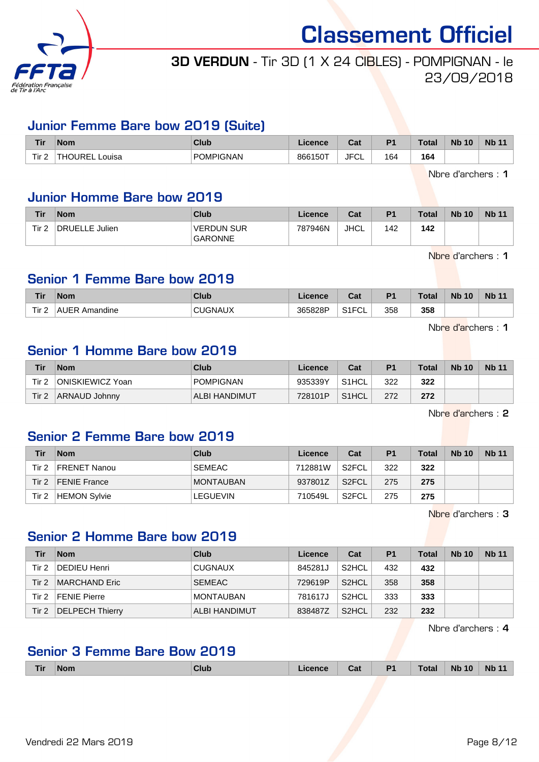

## 3D VERDUN - Tir 3D (1 X 24 CIBLES) - POMPIGNAN - le 23/09/2018

#### Junior Femme Bare bow 2019 (Suite)

| <b>Tir</b>            | <b>Nom</b>              | Club             | Licence | ◠fi<br>va. | D <sub>4</sub> | <b>Total</b> | <b>Nb</b><br>10 | <b>Nb 11</b> |
|-----------------------|-------------------------|------------------|---------|------------|----------------|--------------|-----------------|--------------|
| Tir <sub>2</sub><br>£ | IRE<br>Louisa<br>-<br>- | <b>POMPIGNAN</b> | 866150T | JFC'<br>◡∟ | 164            | 164          |                 |              |

Nbre d'archers : 1

#### Junior Homme Bare bow 2019

| <b>Tir</b>       | <b>Nom</b>     | <b>Club</b>                         | Licence | Cat         | P <sub>1</sub> | <b>Total</b> | <b>Nb 10</b> | <b>Nb 11</b> |
|------------------|----------------|-------------------------------------|---------|-------------|----------------|--------------|--------------|--------------|
| Tir <sub>2</sub> | DRUELLE Julien | <b>VERDUN SUR</b><br><b>GARONNE</b> | 787946N | <b>JHCL</b> | 142            | 142          |              |              |

Nbre d'archers : 1

#### Senior 1 Femme Bare bow 2019

| <b>Tir</b>       | <b>Nom</b>              | Club           | .icence | ◠੍៰<br>val                        | D <sub>1</sub> | <b>Total</b> | <b>Nb 10</b> | <b>Nb</b> |
|------------------|-------------------------|----------------|---------|-----------------------------------|----------------|--------------|--------------|-----------|
| Tir <sub>2</sub> | <b>AUER</b><br>Amandine | <b>CUGNAUX</b> | 365828P | $\sim$ $\sim$ $\sim$<br>ັບ∟<br>◡᠁ | 358            | 358          |              |           |

Nbre d'archers : 1

#### Senior 1 Homme Bare bow 2019

| Tir   | <b>Nom</b>       | Club             | Licence | Cat                | P <sub>1</sub> | <b>Total</b> | <b>Nb 10</b> | <b>Nb 11</b> |
|-------|------------------|------------------|---------|--------------------|----------------|--------------|--------------|--------------|
| Tir 2 | ONISKIEWICZ Yoan | <b>POMPIGNAN</b> | 935339Y | S <sub>1</sub> HCL | 322            | 322          |              |              |
| Tir 2 | ARNAUD Johnny    | ALBI HANDIMUT    | 728101P | S1HCL              | 272            | 272          |              |              |

Nbre d'archers : 2

#### Senior 2 Femme Bare bow 2019

| Tir   | <b>Nom</b>          | Club             | Licence | Cat                | P <sub>1</sub> | <b>Total</b> | <b>Nb 10</b> | <b>Nb 11</b> |
|-------|---------------------|------------------|---------|--------------------|----------------|--------------|--------------|--------------|
| Tir 2 | <b>FRENET Nanou</b> | <b>SEMEAC</b>    | 712881W | S <sub>2</sub> FCL | 322            | 322          |              |              |
| Tir 2 | <b>FENIE France</b> | <b>MONTAUBAN</b> | 937801Z | S <sub>2</sub> FCL | 275            | 275          |              |              |
| Tir 2 | HEMON Sylvie        | <b>LEGUEVIN</b>  | 710549L | S2FCL              | 275            | 275          |              |              |

Nbre d'archers : 3

## Senior 2 Homme Bare bow 2019

| Tir      | <b>Nom</b>      | Club                 | Licence | Cat                | P <sub>1</sub> | Total | <b>Nb 10</b> | <b>Nb 11</b> |
|----------|-----------------|----------------------|---------|--------------------|----------------|-------|--------------|--------------|
| Tir 2    | DEDIEU Henri    | <b>CUGNAUX</b>       | 845281J | S <sub>2</sub> HCL | 432            | 432   |              |              |
| Tir 2    | MARCHAND Eric   | <b>SEMEAC</b>        | 729619P | S <sub>2</sub> HCL | 358            | 358   |              |              |
| Tir 2    | FENIE Pierre    | <b>MONTAUBAN</b>     | 781617J | S <sub>2</sub> HCL | 333            | 333   |              |              |
| Tir $27$ | DELPECH Thierry | <b>ALBI HANDIMUT</b> | 838487Z | S <sub>2</sub> HCL | 232            | 232   |              |              |

Nbre d'archers : 4

#### Senior 3 Femme Bare Bow 2019

|  | Tir I | $M^{\sim}$<br>______ |  | _____ | car | пи | _____ | <b>Nb</b><br>$-10$<br>___ | <b>N<sub>h</sub></b> |
|--|-------|----------------------|--|-------|-----|----|-------|---------------------------|----------------------|
|--|-------|----------------------|--|-------|-----|----|-------|---------------------------|----------------------|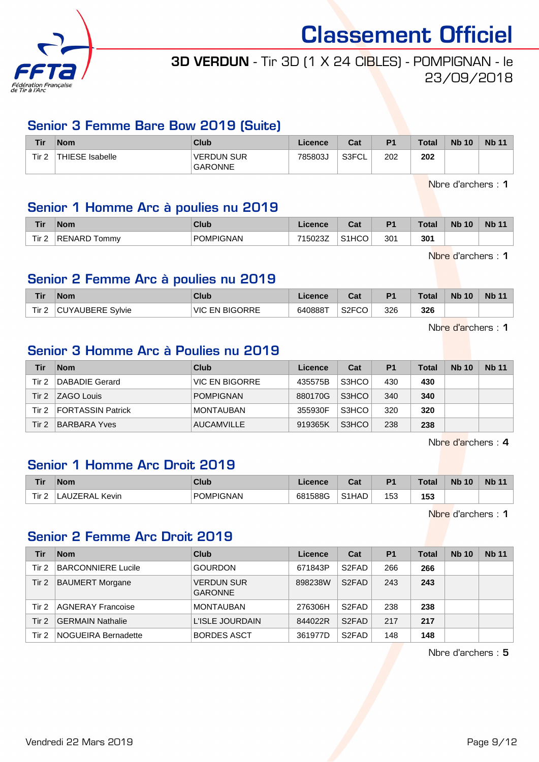

## 3D VERDUN - Tir 3D (1 X 24 CIBLES) - POMPIGNAN - le 23/09/2018

#### Senior 3 Femme Bare Bow 2019 (Suite)

| Tir     | <b>Nom</b>      | Club                                | Licence | Cat   | <b>P1</b> | <b>Total</b> | <b>Nb 10</b> | <b>Nb 11</b> |
|---------|-----------------|-------------------------------------|---------|-------|-----------|--------------|--------------|--------------|
| Tir $2$ | THIESE Isabelle | <b>VERDUN SUR</b><br><b>GARONNE</b> | 785803  | S3FCL | 202       | 202          |              |              |

Nbre d'archers : 1

#### Senior 1 Homme Arc à poulies nu 2019

| <b>Tir</b>       | <b>Nom</b>         | Club             | .icence            | ו ה<br>⊍a | D <sub>1</sub> | <b>Total</b> | <b>Nb</b><br>10 | <b>Nb</b> |
|------------------|--------------------|------------------|--------------------|-----------|----------------|--------------|-----------------|-----------|
| Tir <sub>2</sub> | ⊪RENARD T<br>Tommy | <b>POMPIGNAN</b> | 7150007<br>ו אג∠טפ | S1HCM     | 301            | 301          |                 |           |

Nbre d'archers : 1

#### Senior 2 Femme Arc à poulies nu 2019

| Tir              | <b>Nom</b>       | <b>Club</b>                | .icence | ่∩ำง<br>va.        | D <sub>1</sub> | <b>Total</b> | <b>Nb 10</b> | Nb <sub>1</sub> |
|------------------|------------------|----------------------------|---------|--------------------|----------------|--------------|--------------|-----------------|
| Tir <sub>2</sub> | CUYAUBERE Sylvie | <b>EN BIGORRE</b><br>VIC L | 640888T | S <sub>2</sub> FCO | 326            | 326          |              |                 |

Nbre d'archers : 1

#### Senior 3 Homme Arc à Poulies nu 2019

| Tir   | <b>Nom</b>        | <b>Club</b>       | Licence | Cat   | P <sub>1</sub> | <b>Total</b> | <b>Nb 10</b> | <b>Nb 11</b> |
|-------|-------------------|-------------------|---------|-------|----------------|--------------|--------------|--------------|
| Tir 2 | DABADIE Gerard    | VIC EN BIGORRE    | 435575B | S3HCO | 430            | 430          |              |              |
| Tir 2 | <b>ZAGO Louis</b> | <b>POMPIGNAN</b>  | 880170G | S3HCO | 340            | 340          |              |              |
| Tir 2 | FORTASSIN Patrick | MONTAUBAN         | 355930F | S3HCO | 320            | 320          |              |              |
| Tir 2 | BARBARA Yves      | <b>AUCAMVILLE</b> | 919365K | S3HCO | 238            | 238          |              |              |

Nbre d'archers : 4

#### Senior 1 Homme Arc Droit 2019

| <b>Tir</b>       | <b>Nom</b>     | Club      | Licence | <b>Take</b><br>ual | D <sub>1</sub> | Tota | <b>N<sub>b</sub></b><br>10 | <b>Nb 11</b> |
|------------------|----------------|-----------|---------|--------------------|----------------|------|----------------------------|--------------|
| Tir.<br><u>_</u> | ZERAL<br>Kevin | POMPIGNAN | 681588G | S <sub>1</sub> HAD | 53             | 153  |                            |              |

Nbre d'archers : 1

## Senior 2 Femme Arc Droit 2019

| Tir   | <b>Nom</b>                | Club                                | Licence | Cat                | <b>P1</b> | Total | <b>Nb 10</b> | <b>Nb 11</b> |
|-------|---------------------------|-------------------------------------|---------|--------------------|-----------|-------|--------------|--------------|
| Tir 2 | <b>BARCONNIERE Lucile</b> | <b>GOURDON</b>                      | 671843P | S <sub>2</sub> FAD | 266       | 266   |              |              |
| Tir 2 | <b>BAUMERT Morgane</b>    | <b>VERDUN SUR</b><br><b>GARONNE</b> | 898238W | S <sub>2</sub> FAD | 243       | 243   |              |              |
| Tir 2 | <b>AGNERAY Francoise</b>  | <b>MONTAUBAN</b>                    | 276306H | S <sub>2</sub> FAD | 238       | 238   |              |              |
| Tir 2 | <b>GERMAIN Nathalie</b>   | L'ISLE JOURDAIN                     | 844022R | S <sub>2</sub> FAD | 217       | 217   |              |              |
| Tir 2 | NOGUEIRA Bernadette       | <b>BORDES ASCT</b>                  | 361977D | S <sub>2</sub> FAD | 148       | 148   |              |              |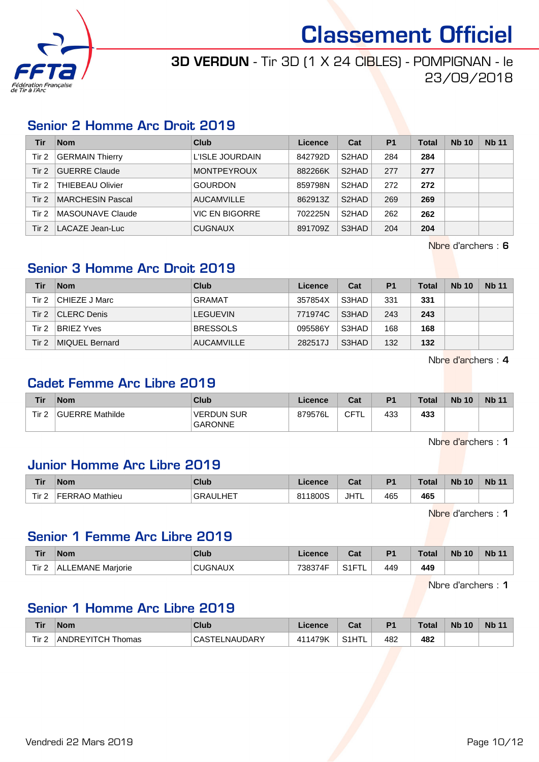

## 3D VERDUN - Tir 3D (1 X 24 CIBLES) - POMPIGNAN - le 23/09/2018

## Senior 2 Homme Arc Droit 2019

| <b>Tir</b> | <b>Nom</b>              | Club                  | Licence | Cat                | P <sub>1</sub> | Total | <b>Nb 10</b> | <b>Nb 11</b> |
|------------|-------------------------|-----------------------|---------|--------------------|----------------|-------|--------------|--------------|
| Tir 2      | <b>GERMAIN Thierry</b>  | L'ISLE JOURDAIN       | 842792D | S <sub>2</sub> HAD | 284            | 284   |              |              |
| Tir $2$    | <b>GUERRE Claude</b>    | <b>MONTPEYROUX</b>    | 882266K | S <sub>2</sub> HAD | 277            | 277   |              |              |
| Tir 2      | <b>THIEBEAU Olivier</b> | <b>GOURDON</b>        | 859798N | S <sub>2</sub> HAD | 272            | 272   |              |              |
| Tir 2      | MARCHESIN Pascal        | <b>AUCAMVILLE</b>     | 862913Z | S <sub>2</sub> HAD | 269            | 269   |              |              |
| Tir 2      | MASOUNAVE Claude        | <b>VIC EN BIGORRE</b> | 702225N | S <sub>2</sub> HAD | 262            | 262   |              |              |
| Tir $2$    | LACAZE Jean-Luc         | <b>CUGNAUX</b>        | 891709Z | S3HAD              | 204            | 204   |              |              |

Nbre d'archers : 6

## Senior 3 Homme Arc Droit 2019

| Tir   | <b>Nom</b>         | Club              | Licence | Cat   | P <sub>1</sub> | <b>Total</b> | <b>Nb 10</b> | <b>Nb 11</b> |
|-------|--------------------|-------------------|---------|-------|----------------|--------------|--------------|--------------|
| Tir 2 | CHIEZE J Marc      | <b>GRAMAT</b>     | 357854X | S3HAD | 331            | 331          |              |              |
| Tir 2 | <b>CLERC Denis</b> | <b>LEGUEVIN</b>   | 771974C | S3HAD | 243            | 243          |              |              |
| Tir 2 | <b>BRIEZ Yves</b>  | <b>BRESSOLS</b>   | 095586Y | S3HAD | 168            | 168          |              |              |
| Tir 2 | MIQUEL Bernard     | <b>AUCAMVILLE</b> | 282517J | S3HAD | 132            | 132          |              |              |

Nbre d'archers : 4

#### Cadet Femme Arc Libre 2019

| Tir   | <b>Nom</b>      | Club                                | Licence | Cat  | P <sub>1</sub> | <b>Total</b> | <b>Nb 10</b> | <b>Nb 11</b> |
|-------|-----------------|-------------------------------------|---------|------|----------------|--------------|--------------|--------------|
| Tir 2 | GUERRE Mathilde | <b>VERDUN SUR</b><br><b>GARONNE</b> | 879576L | CFTL | 433            | 433          |              |              |

Nbre d'archers : 1

#### Junior Homme Arc Libre 2019

| <b>Tir</b> | <b>Nom</b>        | Club                 | Licence | $R_{\rm eff}$<br>υαι | D <sub>1</sub> | <b>Total</b> | <b>N<sub>b</sub></b><br>10 | <b>Nb 11</b> |
|------------|-------------------|----------------------|---------|----------------------|----------------|--------------|----------------------------|--------------|
| Tir 2      | <b>FFRRA</b><br>. | .HET<br><b>GRAUL</b> | 811800S | JHTL                 | 465            | 465          |                            |              |

Nbre d'archers : 1

### Senior 1 Femme Arc Libre 2019

| <b>Tir</b>       | <b>Nom</b>            | Club  | Licence         | $R_{\rm{eff}}$<br>uai | P <sub>1</sub> | <b>Total</b> | <b>Nb</b><br>10 | <b>Nb 11</b> |
|------------------|-----------------------|-------|-----------------|-----------------------|----------------|--------------|-----------------|--------------|
| Tir <sub>2</sub> | LEMANE Mariorie<br>AΙ | 3NAUX | 738374F<br>.74F | 0.15<br>--            | 449            | 449          |                 |              |

Nbre d'archers : 1

#### Senior 1 Homme Arc Libre 2019

| <b>Tir</b> | <b>Nom</b>        | Club                            | Licence      | Cat  | D <sup>+</sup> | <b>Total</b> | <b>Nb 10</b> | <b>Nb 11</b> |
|------------|-------------------|---------------------------------|--------------|------|----------------|--------------|--------------|--------------|
| Tir $2$    | ANDREYITCH Thomas | <b>ELNAUDARY</b><br>CAS1<br>FF! | 1479K<br>411 | C1HT | 482            | 482          |              |              |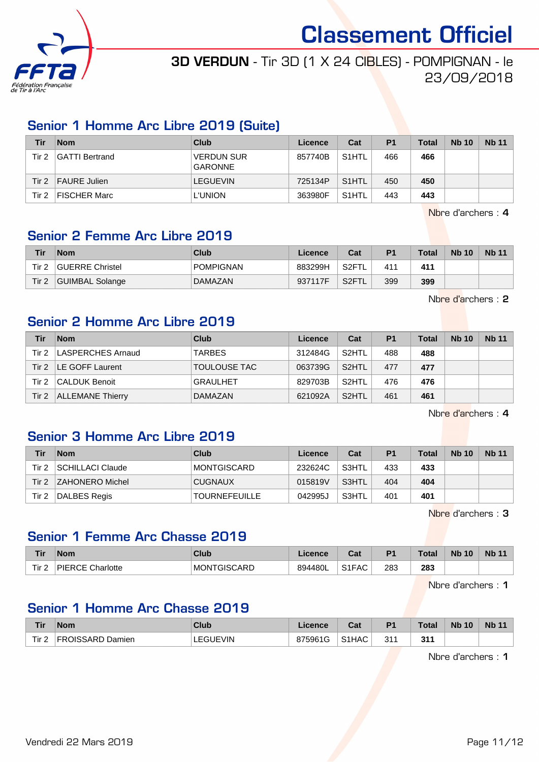

## 3D VERDUN - Tir 3D (1 X 24 CIBLES) - POMPIGNAN - le 23/09/2018

#### Senior 1 Homme Arc Libre 2019 (Suite)

| Tir   | <b>Nom</b>     | Club                                | Licence | Cat                | P <sub>1</sub> | <b>Total</b> | <b>Nb 10</b> | <b>Nb 11</b> |
|-------|----------------|-------------------------------------|---------|--------------------|----------------|--------------|--------------|--------------|
| Tir 2 | GATTI Bertrand | <b>VERDUN SUR</b><br><b>GARONNE</b> | 857740B | S <sub>1</sub> HTL | 466            | 466          |              |              |
| Tir 2 | FAURE Julien   | <b>LEGUEVIN</b>                     | 725134P | S <sub>1</sub> HTL | 450            | 450          |              |              |
| Tir 2 | FISCHER Marc   | <b>L'UNION</b>                      | 363980F | S <sub>1</sub> HTL | 443            | 443          |              |              |

Nbre d'archers : 4

#### Senior 2 Femme Arc Libre 2019

| Tir              | <b>Nom</b>      | Club             | Licence | Cat                | P <sub>1</sub> | <b>Total</b> | <b>Nb 10</b> | <b>Nb 11</b> |
|------------------|-----------------|------------------|---------|--------------------|----------------|--------------|--------------|--------------|
| Tir <sub>2</sub> | GUERRE Christel | <b>POMPIGNAN</b> | 883299H | S <sub>2</sub> FTL | 411            | 411          |              |              |
| Tir <sub>2</sub> | GUIMBAL Solange | <b>DAMAZAN</b>   | 937117F | S2FTL              | 399            | 399          |              |              |

Nbre d'archers : 2

#### Senior 2 Homme Arc Libre 2019

| Tir     | <b>Nom</b>              | Club                | Licence | Cat                | P <sub>1</sub> | <b>Total</b> | <b>Nb 10</b> | <b>Nb 11</b> |
|---------|-------------------------|---------------------|---------|--------------------|----------------|--------------|--------------|--------------|
| Tir 2   | LASPERCHES Arnaud       | <b>TARBES</b>       | 312484G | S <sub>2</sub> HTL | 488            | 488          |              |              |
| Tir $2$ | <b>LE GOFF Laurent</b>  | <b>TOULOUSE TAC</b> | 063739G | S <sub>2</sub> HTL | 477            | 477          |              |              |
| Tir 2   | CALDUK Benoit           | <b>GRAULHET</b>     | 829703B | S <sub>2</sub> HTL | 476            | 476          |              |              |
| Tir 2   | <b>ALLEMANE Thierry</b> | DAMAZAN             | 621092A | S <sub>2</sub> HTL | 461            | 461          |              |              |

Nbre d'archers : 4

#### Senior 3 Homme Arc Libre 2019

| Tir   | <b>Nom</b>              | Club                 | Licence | Cat      | P <sub>1</sub> | <b>Total</b> | <b>Nb 10</b> | <b>Nb 11</b> |
|-------|-------------------------|----------------------|---------|----------|----------------|--------------|--------------|--------------|
| Tir 2 | <b>SCHILLACI Claude</b> | MONTGISCARD          | 232624C | ` S3HTL_ | 433            | 433          |              |              |
| Tir 2 | ZAHONERO Michel         | <b>CUGNAUX</b>       | 015819V | S3HTL    | 404            | 404          |              |              |
| Tir 2 | DALBES Regis            | <b>TOURNEFEUILLE</b> | 042995J | S3HTL    | 401            | 401          |              |              |

Nbre d'archers : 3

## Senior 1 Femme Arc Chasse 2019

| <b>Tir</b>            | <b>Nom</b>              | Club            | icanca<br>-icence | <b>DAL</b><br>Ja,                      | D <sub>4</sub> | Total | <b>N<sub>b</sub></b><br>10 | <b>N<sub>b</sub></b><br>$\overline{A}$ |
|-----------------------|-------------------------|-----------------|-------------------|----------------------------------------|----------------|-------|----------------------------|----------------------------------------|
| Tir <sub>2</sub><br>- | <b>PIERCE Charlotte</b> | GISCARD<br>MON1 | 894480L           | $\sim$ $\sim$<br>$\sim$<br>∽AU.<br>ا ت | 283<br>- -     | 283   |                            |                                        |

Nbre d'archers : 1

#### Senior 1 Homme Arc Chasse 2019

| <b>Tir</b>       | <b>Nom</b>       | Club            | Licence | <b>Dol</b><br>ual  | D <sub>1</sub> | <b>Total</b> | <b>N<sub>b</sub></b><br>10 | <b>Nb 11</b> |
|------------------|------------------|-----------------|---------|--------------------|----------------|--------------|----------------------------|--------------|
| Tir <sub>2</sub> | FROISSARD Damien | <b>LEGUEVIN</b> | 875961G | S <sub>1</sub> HAC | 244<br>ا ب     | 311          |                            |              |